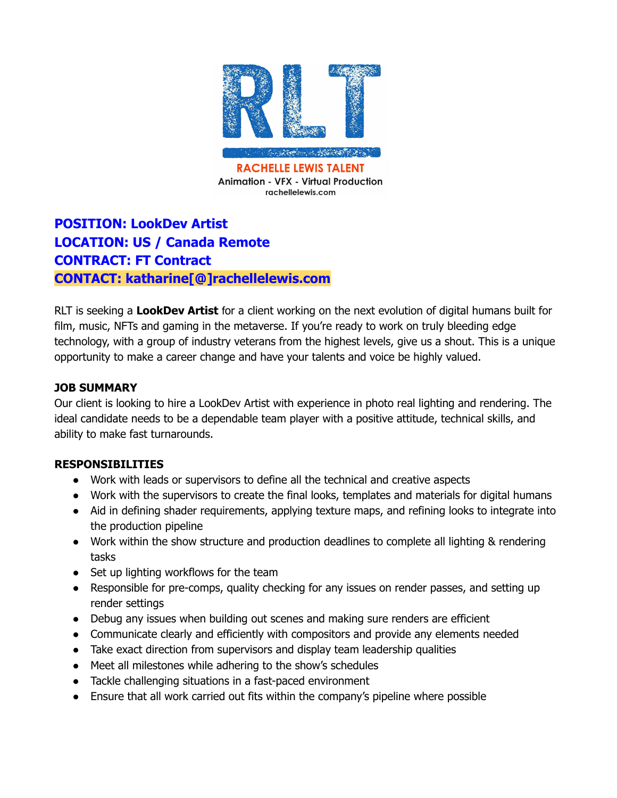

## **POSITION: LookDev Artist LOCATION: US / Canada Remote CONTRACT: FT Contract CONTACT: katharine[@]rachellelewis.com**

RLT is seeking a **LookDev Artist** for a client working on the next evolution of digital humans built for film, music, NFTs and gaming in the metaverse. If you're ready to work on truly bleeding edge technology, with a group of industry veterans from the highest levels, give us a shout. This is a unique opportunity to make a career change and have your talents and voice be highly valued.

## **JOB SUMMARY**

Our client is looking to hire a LookDev Artist with experience in photo real lighting and rendering. The ideal candidate needs to be a dependable team player with a positive attitude, technical skills, and ability to make fast turnarounds.

## **RESPONSIBILITIES**

- Work with leads or supervisors to define all the technical and creative aspects
- Work with the supervisors to create the final looks, templates and materials for digital humans
- Aid in defining shader requirements, applying texture maps, and refining looks to integrate into the production pipeline
- Work within the show structure and production deadlines to complete all lighting & rendering tasks
- Set up lighting workflows for the team
- Responsible for pre-comps, quality checking for any issues on render passes, and setting up render settings
- Debug any issues when building out scenes and making sure renders are efficient
- Communicate clearly and efficiently with compositors and provide any elements needed
- Take exact direction from supervisors and display team leadership qualities
- Meet all milestones while adhering to the show's schedules
- Tackle challenging situations in a fast-paced environment
- Ensure that all work carried out fits within the company's pipeline where possible